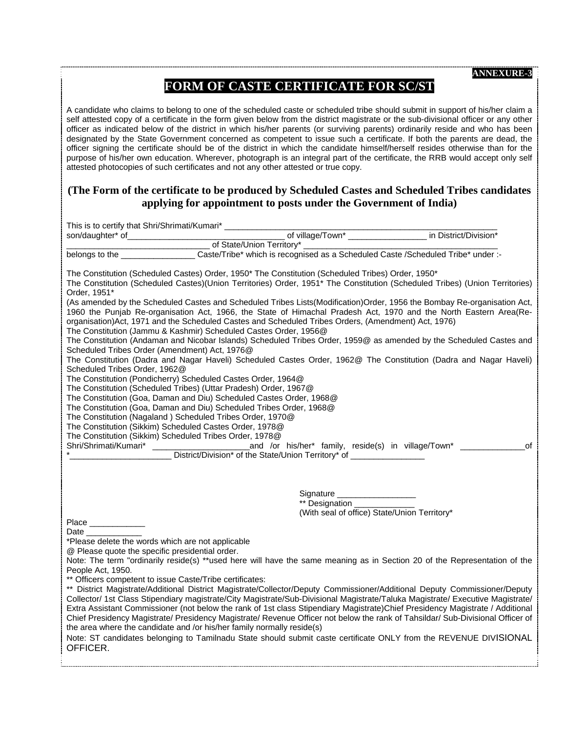## **FORM OF CASTE CERTIFICATE FOR SC/ST**

A candidate who claims to belong to one of the scheduled caste or scheduled tribe should submit in support of his/her claim a self attested copy of a certificate in the form given below from the district magistrate or the sub-divisional officer or any other officer as indicated below of the district in which his/her parents (or surviving parents) ordinarily reside and who has been designated by the State Government concerned as competent to issue such a certificate. If both the parents are dead, the officer signing the certificate should be of the district in which the candidate himself/herself resides otherwise than for the purpose of his/her own education. Wherever, photograph is an integral part of the certificate, the RRB would accept only self attested photocopies of such certificates and not any other attested or true copy.

#### **(The Form of the certificate to be produced by Scheduled Castes and Scheduled Tribes candidates applying for appointment to posts under the Government of India)**

|                                                                                                                                                                                                                                                                                                                                                                                                                                                                                                                                                                                                                                                                                                                                                                                                                                                                                                                                                                                                                                                                                                                                                                                                                                                                                                                                                                                                                                                                                                                                                                                                                                                                             | This is to certify that Shri/Shrimati/Kumari* _______ |  |                                                           |  |  |
|-----------------------------------------------------------------------------------------------------------------------------------------------------------------------------------------------------------------------------------------------------------------------------------------------------------------------------------------------------------------------------------------------------------------------------------------------------------------------------------------------------------------------------------------------------------------------------------------------------------------------------------------------------------------------------------------------------------------------------------------------------------------------------------------------------------------------------------------------------------------------------------------------------------------------------------------------------------------------------------------------------------------------------------------------------------------------------------------------------------------------------------------------------------------------------------------------------------------------------------------------------------------------------------------------------------------------------------------------------------------------------------------------------------------------------------------------------------------------------------------------------------------------------------------------------------------------------------------------------------------------------------------------------------------------------|-------------------------------------------------------|--|-----------------------------------------------------------|--|--|
|                                                                                                                                                                                                                                                                                                                                                                                                                                                                                                                                                                                                                                                                                                                                                                                                                                                                                                                                                                                                                                                                                                                                                                                                                                                                                                                                                                                                                                                                                                                                                                                                                                                                             |                                                       |  | of village/Town* __________________ in District/Division* |  |  |
|                                                                                                                                                                                                                                                                                                                                                                                                                                                                                                                                                                                                                                                                                                                                                                                                                                                                                                                                                                                                                                                                                                                                                                                                                                                                                                                                                                                                                                                                                                                                                                                                                                                                             | of State/Union Territory*                             |  |                                                           |  |  |
|                                                                                                                                                                                                                                                                                                                                                                                                                                                                                                                                                                                                                                                                                                                                                                                                                                                                                                                                                                                                                                                                                                                                                                                                                                                                                                                                                                                                                                                                                                                                                                                                                                                                             |                                                       |  |                                                           |  |  |
| belongs to the _________________Caste/Tribe* which is recognised as a Scheduled Caste /Scheduled Tribe* under :-<br>The Constitution (Scheduled Castes) Order, 1950* The Constitution (Scheduled Tribes) Order, 1950*<br>The Constitution (Scheduled Castes)(Union Territories) Order, 1951* The Constitution (Scheduled Tribes) (Union Territories)<br>Order, 1951*<br>(As amended by the Scheduled Castes and Scheduled Tribes Lists(Modification)Order, 1956 the Bombay Re-organisation Act,<br>1960 the Punjab Re-organisation Act, 1966, the State of Himachal Pradesh Act, 1970 and the North Eastern Area(Re-<br>organisation) Act, 1971 and the Scheduled Castes and Scheduled Tribes Orders, (Amendment) Act, 1976)<br>The Constitution (Jammu & Kashmir) Scheduled Castes Order, 1956@<br>The Constitution (Andaman and Nicobar Islands) Scheduled Tribes Order, 1959@ as amended by the Scheduled Castes and<br>Scheduled Tribes Order (Amendment) Act, 1976@<br>The Constitution (Dadra and Nagar Haveli) Scheduled Castes Order, 1962@ The Constitution (Dadra and Nagar Haveli)<br>Scheduled Tribes Order, 1962@<br>The Constitution (Pondicherry) Scheduled Castes Order, 1964@<br>The Constitution (Scheduled Tribes) (Uttar Pradesh) Order, 1967@<br>The Constitution (Goa, Daman and Diu) Scheduled Castes Order, 1968@<br>The Constitution (Goa, Daman and Diu) Scheduled Tribes Order, 1968@<br>The Constitution (Nagaland) Scheduled Tribes Order, 1970@<br>The Constitution (Sikkim) Scheduled Castes Order, 1978@<br>The Constitution (Sikkim) Scheduled Tribes Order, 1978@<br>_and /or his/her* family, reside(s) in village/Town* _________<br>of |                                                       |  |                                                           |  |  |
| Signature _____________________<br>** Designation ____<br>(With seal of office) State/Union Territory*<br>Place _____________<br><b>Date Date</b><br>*Please delete the words which are not applicable<br>@ Please quote the specific presidential order.<br>Note: The term "ordinarily reside(s) **used here will have the same meaning as in Section 20 of the Representation of the<br>People Act, 1950.<br>** Officers competent to issue Caste/Tribe certificates:<br>** District Magistrate/Additional District Magistrate/Collector/Deputy Commissioner/Additional Deputy Commissioner/Deputy<br>Collector/ 1st Class Stipendiary magistrate/City Magistrate/Sub-Divisional Magistrate/Taluka Magistrate/ Executive Magistrate/<br>Extra Assistant Commissioner (not below the rank of 1st class Stipendiary Magistrate)Chief Presidency Magistrate / Additional<br>Chief Presidency Magistrate/ Presidency Magistrate/ Revenue Officer not below the rank of Tahsildar/ Sub-Divisional Officer of<br>the area where the candidate and /or his/her family normally reside(s)<br>Note: ST candidates belonging to Tamilnadu State should submit caste certificate ONLY from the REVENUE DIVISIONAL<br>OFFICER.                                                                                                                                                                                                                                                                                                                                                                                                                                                        |                                                       |  |                                                           |  |  |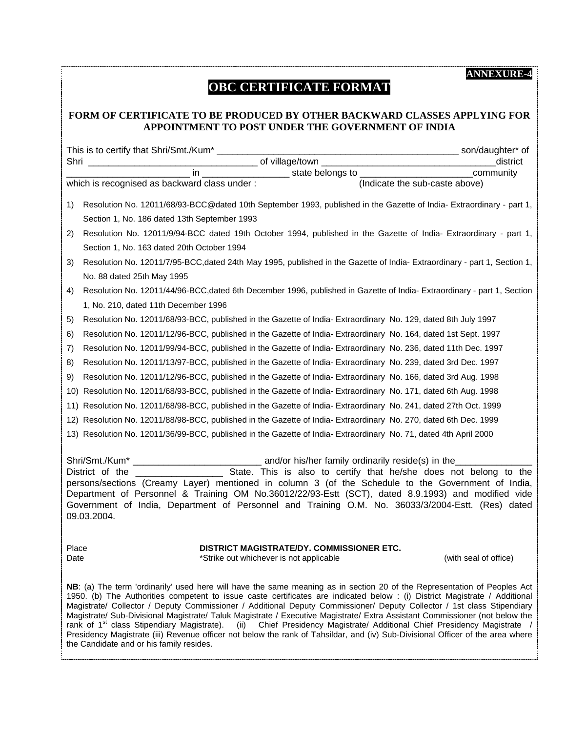# **OBC CERTIFICATE FORMAT**

#### **FORM OF CERTIFICATE TO BE PRODUCED BY OTHER BACKWARD CLASSES APPLYING FOR APPOINTMENT TO POST UNDER THE GOVERNMENT OF INDIA**

|                                                                                                                                                                                                                                                                                                                                                                                                                                                                                                                                                                                                                                                                                                                                                                                              | in                                                                                                                       |  |  |  |  |
|----------------------------------------------------------------------------------------------------------------------------------------------------------------------------------------------------------------------------------------------------------------------------------------------------------------------------------------------------------------------------------------------------------------------------------------------------------------------------------------------------------------------------------------------------------------------------------------------------------------------------------------------------------------------------------------------------------------------------------------------------------------------------------------------|--------------------------------------------------------------------------------------------------------------------------|--|--|--|--|
|                                                                                                                                                                                                                                                                                                                                                                                                                                                                                                                                                                                                                                                                                                                                                                                              | community<br>(Indicate the sub-caste above)<br>which is recognised as backward class under:                              |  |  |  |  |
|                                                                                                                                                                                                                                                                                                                                                                                                                                                                                                                                                                                                                                                                                                                                                                                              |                                                                                                                          |  |  |  |  |
| 1)                                                                                                                                                                                                                                                                                                                                                                                                                                                                                                                                                                                                                                                                                                                                                                                           | Resolution No. 12011/68/93-BCC@dated 10th September 1993, published in the Gazette of India- Extraordinary - part 1,     |  |  |  |  |
|                                                                                                                                                                                                                                                                                                                                                                                                                                                                                                                                                                                                                                                                                                                                                                                              | Section 1, No. 186 dated 13th September 1993                                                                             |  |  |  |  |
| 2)                                                                                                                                                                                                                                                                                                                                                                                                                                                                                                                                                                                                                                                                                                                                                                                           | Resolution No. 12011/9/94-BCC dated 19th October 1994, published in the Gazette of India- Extraordinary - part 1,        |  |  |  |  |
|                                                                                                                                                                                                                                                                                                                                                                                                                                                                                                                                                                                                                                                                                                                                                                                              | Section 1, No. 163 dated 20th October 1994                                                                               |  |  |  |  |
| 3)                                                                                                                                                                                                                                                                                                                                                                                                                                                                                                                                                                                                                                                                                                                                                                                           | Resolution No. 12011/7/95-BCC, dated 24th May 1995, published in the Gazette of India-Extraordinary - part 1, Section 1, |  |  |  |  |
|                                                                                                                                                                                                                                                                                                                                                                                                                                                                                                                                                                                                                                                                                                                                                                                              | No. 88 dated 25th May 1995                                                                                               |  |  |  |  |
| 4)                                                                                                                                                                                                                                                                                                                                                                                                                                                                                                                                                                                                                                                                                                                                                                                           | Resolution No. 12011/44/96-BCC, dated 6th December 1996, published in Gazette of India-Extraordinary - part 1, Section   |  |  |  |  |
|                                                                                                                                                                                                                                                                                                                                                                                                                                                                                                                                                                                                                                                                                                                                                                                              | 1, No. 210, dated 11th December 1996                                                                                     |  |  |  |  |
| 5)                                                                                                                                                                                                                                                                                                                                                                                                                                                                                                                                                                                                                                                                                                                                                                                           | Resolution No. 12011/68/93-BCC, published in the Gazette of India- Extraordinary No. 129, dated 8th July 1997            |  |  |  |  |
| 6)                                                                                                                                                                                                                                                                                                                                                                                                                                                                                                                                                                                                                                                                                                                                                                                           | Resolution No. 12011/12/96-BCC, published in the Gazette of India- Extraordinary No. 164, dated 1st Sept. 1997           |  |  |  |  |
| 7)                                                                                                                                                                                                                                                                                                                                                                                                                                                                                                                                                                                                                                                                                                                                                                                           | Resolution No. 12011/99/94-BCC, published in the Gazette of India- Extraordinary No. 236, dated 11th Dec. 1997           |  |  |  |  |
| 8)                                                                                                                                                                                                                                                                                                                                                                                                                                                                                                                                                                                                                                                                                                                                                                                           | Resolution No. 12011/13/97-BCC, published in the Gazette of India-Extraordinary No. 239, dated 3rd Dec. 1997             |  |  |  |  |
| 9)                                                                                                                                                                                                                                                                                                                                                                                                                                                                                                                                                                                                                                                                                                                                                                                           | Resolution No. 12011/12/96-BCC, published in the Gazette of India- Extraordinary No. 166, dated 3rd Aug. 1998            |  |  |  |  |
| 10)                                                                                                                                                                                                                                                                                                                                                                                                                                                                                                                                                                                                                                                                                                                                                                                          | Resolution No. 12011/68/93-BCC, published in the Gazette of India-Extraordinary No. 171, dated 6th Aug. 1998             |  |  |  |  |
| 11)                                                                                                                                                                                                                                                                                                                                                                                                                                                                                                                                                                                                                                                                                                                                                                                          | Resolution No. 12011/68/98-BCC, published in the Gazette of India-Extraordinary No. 241, dated 27th Oct. 1999            |  |  |  |  |
|                                                                                                                                                                                                                                                                                                                                                                                                                                                                                                                                                                                                                                                                                                                                                                                              | 12) Resolution No. 12011/88/98-BCC, published in the Gazette of India- Extraordinary No. 270, dated 6th Dec. 1999        |  |  |  |  |
|                                                                                                                                                                                                                                                                                                                                                                                                                                                                                                                                                                                                                                                                                                                                                                                              | 13) Resolution No. 12011/36/99-BCC, published in the Gazette of India- Extraordinary No. 71, dated 4th April 2000        |  |  |  |  |
|                                                                                                                                                                                                                                                                                                                                                                                                                                                                                                                                                                                                                                                                                                                                                                                              |                                                                                                                          |  |  |  |  |
|                                                                                                                                                                                                                                                                                                                                                                                                                                                                                                                                                                                                                                                                                                                                                                                              |                                                                                                                          |  |  |  |  |
|                                                                                                                                                                                                                                                                                                                                                                                                                                                                                                                                                                                                                                                                                                                                                                                              | State. This is also to certify that he/she does not belong to the<br>District of the                                     |  |  |  |  |
| persons/sections (Creamy Layer) mentioned in column 3 (of the Schedule to the Government of India,<br>Department of Personnel & Training OM No.36012/22/93-Estt (SCT), dated 8.9.1993) and modified vide                                                                                                                                                                                                                                                                                                                                                                                                                                                                                                                                                                                     |                                                                                                                          |  |  |  |  |
|                                                                                                                                                                                                                                                                                                                                                                                                                                                                                                                                                                                                                                                                                                                                                                                              | Government of India, Department of Personnel and Training O.M. No. 36033/3/2004-Estt. (Res) dated                        |  |  |  |  |
|                                                                                                                                                                                                                                                                                                                                                                                                                                                                                                                                                                                                                                                                                                                                                                                              | 09.03.2004.                                                                                                              |  |  |  |  |
|                                                                                                                                                                                                                                                                                                                                                                                                                                                                                                                                                                                                                                                                                                                                                                                              |                                                                                                                          |  |  |  |  |
| Place                                                                                                                                                                                                                                                                                                                                                                                                                                                                                                                                                                                                                                                                                                                                                                                        | DISTRICT MAGISTRATE/DY. COMMISSIONER ETC.                                                                                |  |  |  |  |
| Date                                                                                                                                                                                                                                                                                                                                                                                                                                                                                                                                                                                                                                                                                                                                                                                         | *Strike out whichever is not applicable<br>(with seal of office)                                                         |  |  |  |  |
| NB: (a) The term 'ordinarily' used here will have the same meaning as in section 20 of the Representation of Peoples Act<br>1950. (b) The Authorities competent to issue caste certificates are indicated below : (i) District Magistrate / Additional<br>Magistrate/ Collector / Deputy Commissioner / Additional Deputy Commissioner/ Deputy Collector / 1st class Stipendiary<br>Magistrate/ Sub-Divisional Magistrate/ Taluk Magistrate / Executive Magistrate/ Extra Assistant Commissioner (not below the<br>rank of 1 <sup>st</sup> class Stipendiary Magistrate).<br>Chief Presidency Magistrate/ Additional Chief Presidency Magistrate /<br>(ii)<br>Presidency Magistrate (iii) Revenue officer not below the rank of Tahsildar, and (iv) Sub-Divisional Officer of the area where |                                                                                                                          |  |  |  |  |

the Candidate and or his family resides.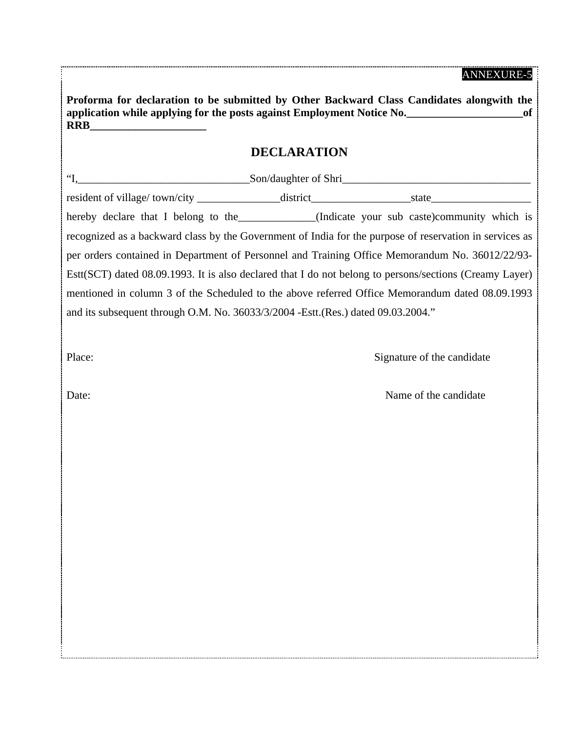| Proforma for declaration to be submitted by Other Backward Class Candidates alongwith the<br>application while applying for the posts against Employment Notice No.<br><b>RRB</b> |                      |       |  |  |  |
|-----------------------------------------------------------------------------------------------------------------------------------------------------------------------------------|----------------------|-------|--|--|--|
|                                                                                                                                                                                   | <b>DECLARATION</b>   |       |  |  |  |
| $\epsilon$                                                                                                                                                                        | Son/daughter of Shri |       |  |  |  |
| resident of village/ town/city                                                                                                                                                    | district             | state |  |  |  |

hereby declare that I belong to the \_\_\_\_\_\_\_\_\_\_\_\_\_(Indicate your sub caste)community which is recognized as a backward class by the Government of India for the purpose of reservation in services as per orders contained in Department of Personnel and Training Office Memorandum No. 36012/22/93- Estt(SCT) dated 08.09.1993. It is also declared that I do not belong to persons/sections (Creamy Layer) mentioned in column 3 of the Scheduled to the above referred Office Memorandum dated 08.09.1993 and its subsequent through O.M. No. 36033/3/2004 -Estt.(Res.) dated 09.03.2004."

Place: Signature of the candidate

Date: Name of the candidate Name of the candidate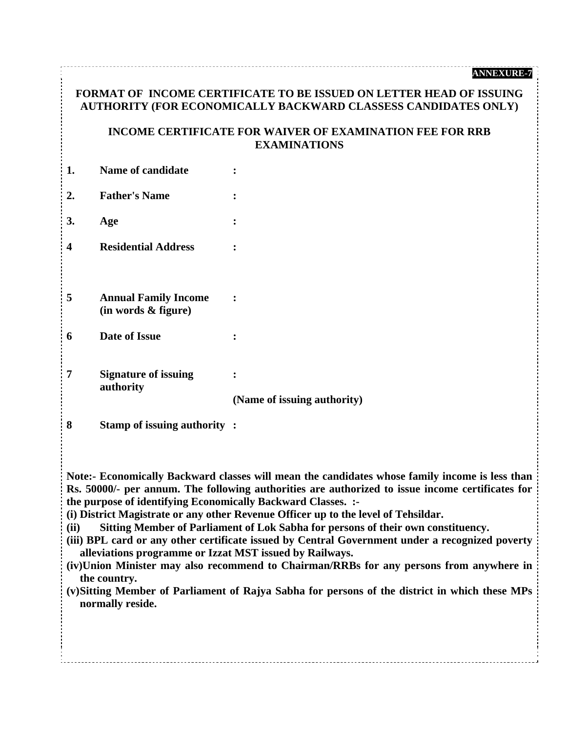## **FORMAT OF INCOME CERTIFICATE TO BE ISSUED ON LETTER HEAD OF ISSUING AUTHORITY (FOR ECONOMICALLY BACKWARD CLASSESS CANDIDATES ONLY)**

#### **INCOME CERTIFICATE FOR WAIVER OF EXAMINATION FEE FOR RRB EXAMINATIONS**

| 1. | Name of candidate                                  |                                       |
|----|----------------------------------------------------|---------------------------------------|
| 2. | <b>Father's Name</b>                               | $\ddot{\cdot}$                        |
| 3. | Age                                                | $\ddot{\cdot}$                        |
| 4  | <b>Residential Address</b>                         |                                       |
|    |                                                    |                                       |
| 5  | <b>Annual Family Income</b><br>(in words & figure) |                                       |
| 6  | Date of Issue                                      |                                       |
| 7  | <b>Signature of issuing</b><br>authority           | ٠<br>۰<br>(Name of issuing authority) |

**8 Stamp of issuing authority :** 

**Note:- Economically Backward classes will mean the candidates whose family income is less than Rs. 50000/- per annum. The following authorities are authorized to issue income certificates for the purpose of identifying Economically Backward Classes. :-** 

**(i) District Magistrate or any other Revenue Officer up to the level of Tehsildar.** 

**(ii) Sitting Member of Parliament of Lok Sabha for persons of their own constituency.** 

- **(iii) BPL card or any other certificate issued by Central Government under a recognized poverty alleviations programme or Izzat MST issued by Railways.**
- **(iv)Union Minister may also recommend to Chairman/RRBs for any persons from anywhere in the country.**
- **(v) Sitting Member of Parliament of Rajya Sabha for persons of the district in which these MPs normally reside.**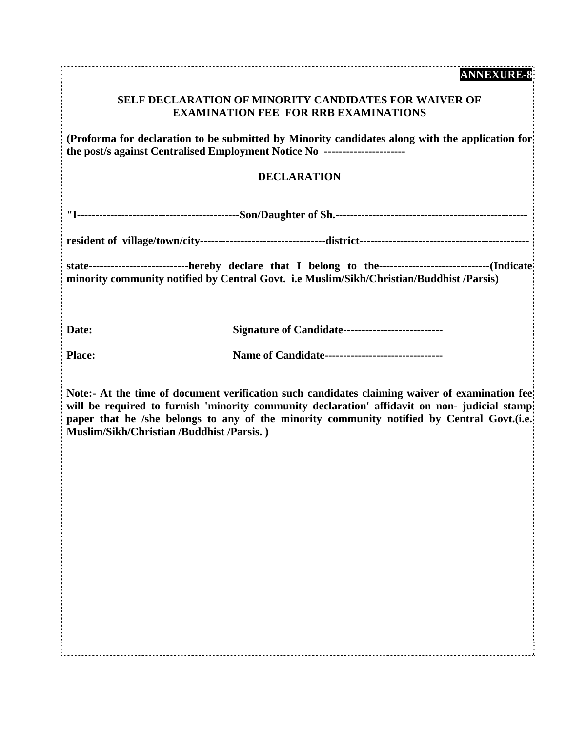## **SELF DECLARATION OF MINORITY CANDIDATES FOR WAIVER OF EXAMINATION FEE FOR RRB EXAMINATIONS**

**(Proforma for declaration to be submitted by Minority candidates along with the application for the post/s against Centralised Employment Notice No ----------------------** 

#### **DECLARATION**

**"I--------------------------------------------Son/Daughter of Sh.----------------------------------------------------** 

**resident of village/town/city----------------------------------district----------------------------------------------** 

**state---------------------------hereby declare that I belong to the------------------------------(Indicate minority community notified by Central Govt. i.e Muslim/Sikh/Christian/Buddhist /Parsis)** 

**Date: Signature of Candidate--------------------------**

Place: **Name of Candidate------------------------------**

**Note:- At the time of document verification such candidates claiming waiver of examination fee**  will be required to furnish 'minority community declaration' affidavit on non- judicial stamp: paper that he /she belongs to any of the minority community notified by Central Govt.(i.e. **Muslim/Sikh/Christian /Buddhist /Parsis. )**